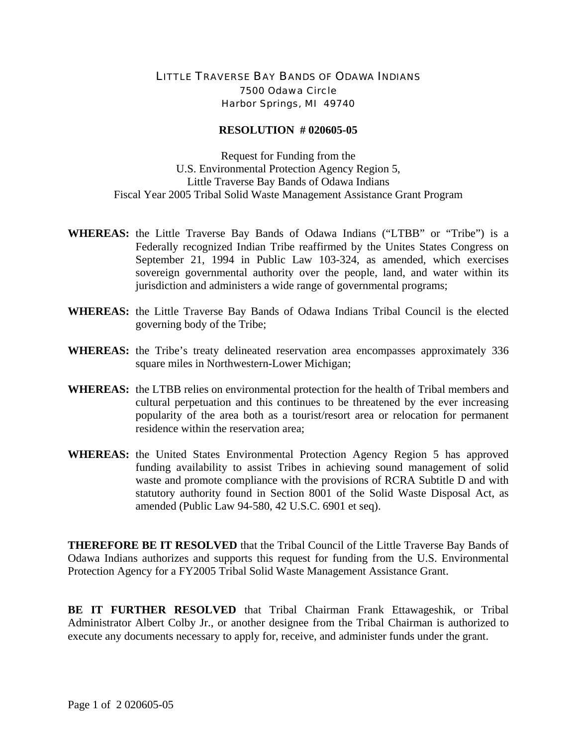## LITTLE TRAVERSE BAY BANDS OF ODAWA INDIANS 7500 Odawa Circle Harbor Springs, MI 49740

## **RESOLUTION # 020605-05**

Request for Funding from the U.S. Environmental Protection Agency Region 5, Little Traverse Bay Bands of Odawa Indians Fiscal Year 2005 Tribal Solid Waste Management Assistance Grant Program

- **WHEREAS:** the Little Traverse Bay Bands of Odawa Indians ("LTBB" or "Tribe") is a Federally recognized Indian Tribe reaffirmed by the Unites States Congress on September 21, 1994 in Public Law 103-324, as amended, which exercises sovereign governmental authority over the people, land, and water within its jurisdiction and administers a wide range of governmental programs;
- **WHEREAS:** the Little Traverse Bay Bands of Odawa Indians Tribal Council is the elected governing body of the Tribe;
- **WHEREAS:** the Tribe's treaty delineated reservation area encompasses approximately 336 square miles in Northwestern-Lower Michigan;
- **WHEREAS:** the LTBB relies on environmental protection for the health of Tribal members and cultural perpetuation and this continues to be threatened by the ever increasing popularity of the area both as a tourist/resort area or relocation for permanent residence within the reservation area;
- **WHEREAS:** the United States Environmental Protection Agency Region 5 has approved funding availability to assist Tribes in achieving sound management of solid waste and promote compliance with the provisions of RCRA Subtitle D and with statutory authority found in Section 8001 of the Solid Waste Disposal Act, as amended (Public Law 94-580, 42 U.S.C. 6901 et seq).

**THEREFORE BE IT RESOLVED** that the Tribal Council of the Little Traverse Bay Bands of Odawa Indians authorizes and supports this request for funding from the U.S. Environmental Protection Agency for a FY2005 Tribal Solid Waste Management Assistance Grant.

**BE IT FURTHER RESOLVED** that Tribal Chairman Frank Ettawageshik, or Tribal Administrator Albert Colby Jr., or another designee from the Tribal Chairman is authorized to execute any documents necessary to apply for, receive, and administer funds under the grant.